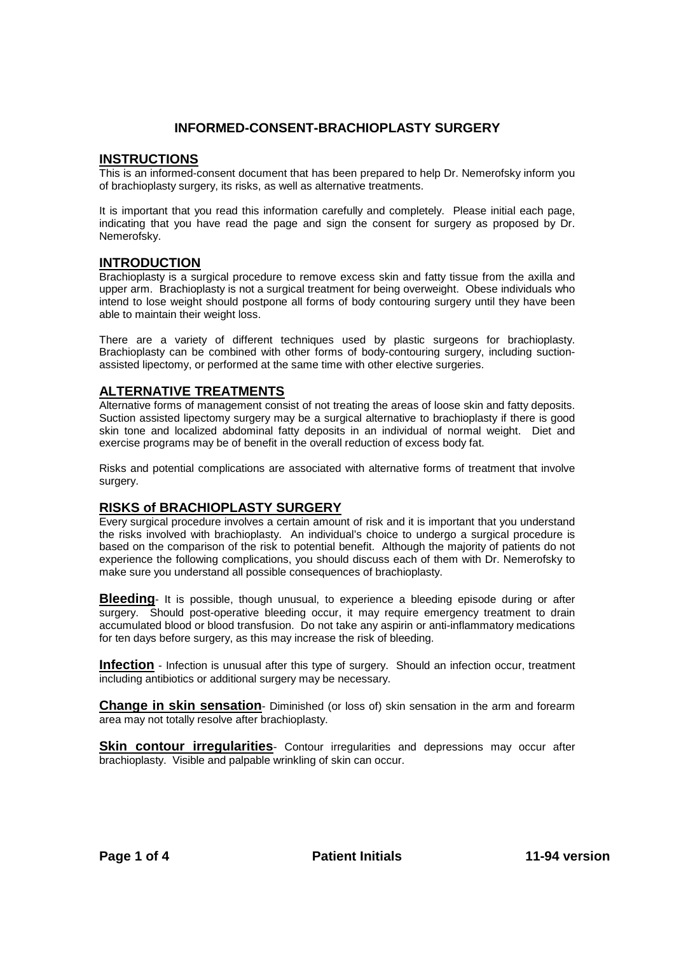# **INFORMED-CONSENT-BRACHIOPLASTY SURGERY**

#### **INSTRUCTIONS**

This is an informed-consent document that has been prepared to help Dr. Nemerofsky inform you of brachioplasty surgery, its risks, as well as alternative treatments.

It is important that you read this information carefully and completely. Please initial each page, indicating that you have read the page and sign the consent for surgery as proposed by Dr. Nemerofsky.

## **INTRODUCTION**

Brachioplasty is a surgical procedure to remove excess skin and fatty tissue from the axilla and upper arm. Brachioplasty is not a surgical treatment for being overweight. Obese individuals who intend to lose weight should postpone all forms of body contouring surgery until they have been able to maintain their weight loss.

There are a variety of different techniques used by plastic surgeons for brachioplasty. Brachioplasty can be combined with other forms of body-contouring surgery, including suctionassisted lipectomy, or performed at the same time with other elective surgeries.

## **ALTERNATIVE TREATMENTS**

Alternative forms of management consist of not treating the areas of loose skin and fatty deposits. Suction assisted lipectomy surgery may be a surgical alternative to brachioplasty if there is good skin tone and localized abdominal fatty deposits in an individual of normal weight. Diet and exercise programs may be of benefit in the overall reduction of excess body fat.

Risks and potential complications are associated with alternative forms of treatment that involve surgery.

## **RISKS of BRACHIOPLASTY SURGERY**

Every surgical procedure involves a certain amount of risk and it is important that you understand the risks involved with brachioplasty. An individual's choice to undergo a surgical procedure is based on the comparison of the risk to potential benefit. Although the majority of patients do not experience the following complications, you should discuss each of them with Dr. Nemerofsky to make sure you understand all possible consequences of brachioplasty.

**Bleeding**- It is possible, though unusual, to experience a bleeding episode during or after surgery. Should post-operative bleeding occur, it may require emergency treatment to drain accumulated blood or blood transfusion. Do not take any aspirin or anti-inflammatory medications for ten days before surgery, as this may increase the risk of bleeding.

**Infection** - Infection is unusual after this type of surgery. Should an infection occur, treatment including antibiotics or additional surgery may be necessary.

**Change in skin sensation**- Diminished (or loss of) skin sensation in the arm and forearm area may not totally resolve after brachioplasty.

**Skin contour irregularities**- Contour irregularities and depressions may occur after brachioplasty. Visible and palpable wrinkling of skin can occur.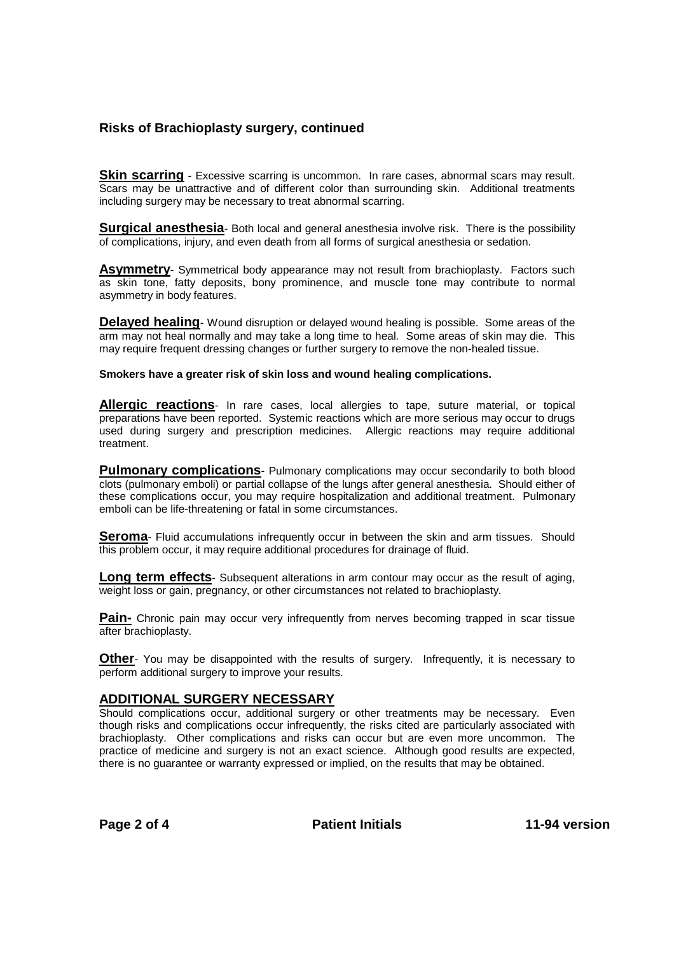# **Risks of Brachioplasty surgery, continued**

**Skin scarring** - Excessive scarring is uncommon. In rare cases, abnormal scars may result. Scars may be unattractive and of different color than surrounding skin. Additional treatments including surgery may be necessary to treat abnormal scarring.

**Surgical anesthesia**- Both local and general anesthesia involve risk. There is the possibility of complications, injury, and even death from all forms of surgical anesthesia or sedation.

**Asymmetry**- Symmetrical body appearance may not result from brachioplasty. Factors such as skin tone, fatty deposits, bony prominence, and muscle tone may contribute to normal asymmetry in body features.

**Delayed healing**- Wound disruption or delayed wound healing is possible. Some areas of the arm may not heal normally and may take a long time to heal. Some areas of skin may die. This may require frequent dressing changes or further surgery to remove the non-healed tissue.

**Smokers have a greater risk of skin loss and wound healing complications.**

**Allergic reactions**- In rare cases, local allergies to tape, suture material, or topical preparations have been reported. Systemic reactions which are more serious may occur to drugs used during surgery and prescription medicines. Allergic reactions may require additional treatment.

**Pulmonary complications**- Pulmonary complications may occur secondarily to both blood clots (pulmonary emboli) or partial collapse of the lungs after general anesthesia. Should either of these complications occur, you may require hospitalization and additional treatment. Pulmonary emboli can be life-threatening or fatal in some circumstances.

**Seroma**- Fluid accumulations infrequently occur in between the skin and arm tissues. Should this problem occur, it may require additional procedures for drainage of fluid.

**Long term effects**- Subsequent alterations in arm contour may occur as the result of aging, weight loss or gain, pregnancy, or other circumstances not related to brachioplasty.

**Pain-** Chronic pain may occur very infrequently from nerves becoming trapped in scar tissue after brachioplasty.

**Other**- You may be disappointed with the results of surgery. Infrequently, it is necessary to perform additional surgery to improve your results.

#### **ADDITIONAL SURGERY NECESSARY**

Should complications occur, additional surgery or other treatments may be necessary. Even though risks and complications occur infrequently, the risks cited are particularly associated with brachioplasty. Other complications and risks can occur but are even more uncommon. The practice of medicine and surgery is not an exact science. Although good results are expected, there is no guarantee or warranty expressed or implied, on the results that may be obtained.

Page 2 of 4 **Patient Initials** 11-94 version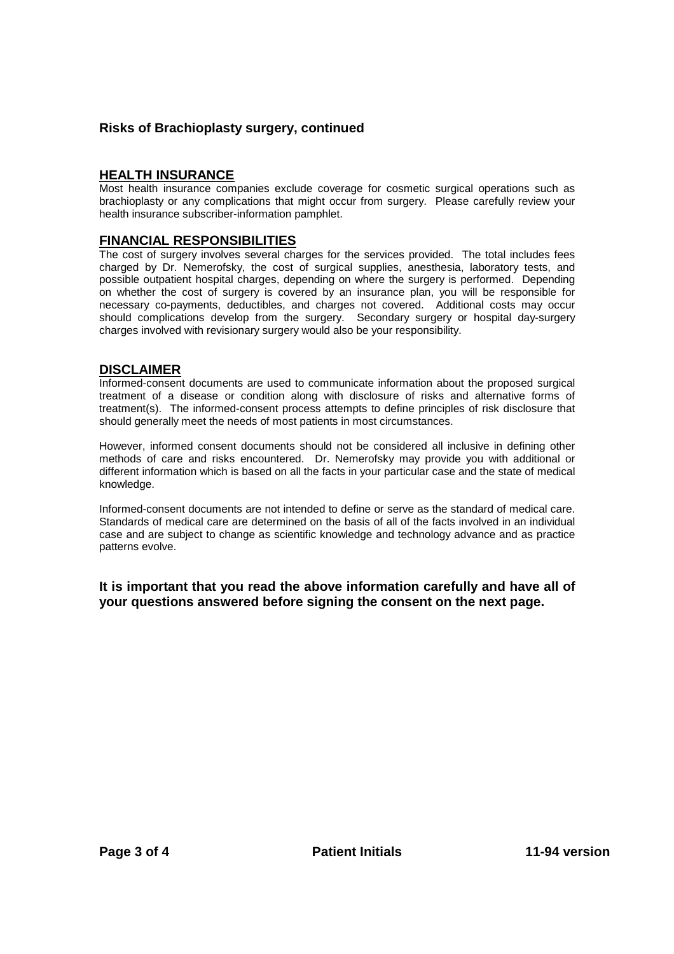# **Risks of Brachioplasty surgery, continued**

## **HEALTH INSURANCE**

Most health insurance companies exclude coverage for cosmetic surgical operations such as brachioplasty or any complications that might occur from surgery. Please carefully review your health insurance subscriber-information pamphlet.

## **FINANCIAL RESPONSIBILITIES**

The cost of surgery involves several charges for the services provided. The total includes fees charged by Dr. Nemerofsky, the cost of surgical supplies, anesthesia, laboratory tests, and possible outpatient hospital charges, depending on where the surgery is performed. Depending on whether the cost of surgery is covered by an insurance plan, you will be responsible for necessary co-payments, deductibles, and charges not covered. Additional costs may occur should complications develop from the surgery. Secondary surgery or hospital day-surgery charges involved with revisionary surgery would also be your responsibility.

## **DISCLAIMER**

Informed-consent documents are used to communicate information about the proposed surgical treatment of a disease or condition along with disclosure of risks and alternative forms of treatment(s). The informed-consent process attempts to define principles of risk disclosure that should generally meet the needs of most patients in most circumstances.

However, informed consent documents should not be considered all inclusive in defining other methods of care and risks encountered. Dr. Nemerofsky may provide you with additional or different information which is based on all the facts in your particular case and the state of medical knowledge.

Informed-consent documents are not intended to define or serve as the standard of medical care. Standards of medical care are determined on the basis of all of the facts involved in an individual case and are subject to change as scientific knowledge and technology advance and as practice patterns evolve.

**It is important that you read the above information carefully and have all of your questions answered before signing the consent on the next page.**